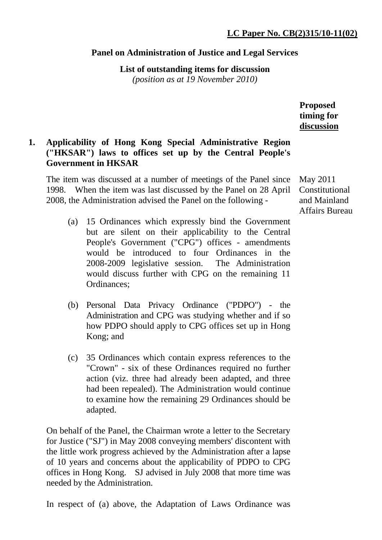#### **Panel on Administration of Justice and Legal Services**

**List of outstanding items for discussion** 

*(position as at 19 November 2010)*

**Proposed timing for discussion**

# **1. Applicability of Hong Kong Special Administrative Region ("HKSAR") laws to offices set up by the Central People's Government in HKSAR**

The item was discussed at a number of meetings of the Panel since 1998. When the item was last discussed by the Panel on 28 April 2008, the Administration advised the Panel on the following -

- (a) 15 Ordinances which expressly bind the Government but are silent on their applicability to the Central People's Government ("CPG") offices - amendments would be introduced to four Ordinances in the 2008-2009 legislative session. The Administration would discuss further with CPG on the remaining 11 Ordinances;
- (b) Personal Data Privacy Ordinance ("PDPO") the Administration and CPG was studying whether and if so how PDPO should apply to CPG offices set up in Hong Kong; and
- (c) 35 Ordinances which contain express references to the "Crown" - six of these Ordinances required no further action (viz. three had already been adapted, and three had been repealed). The Administration would continue to examine how the remaining 29 Ordinances should be adapted.

On behalf of the Panel, the Chairman wrote a letter to the Secretary for Justice ("SJ") in May 2008 conveying members' discontent with the little work progress achieved by the Administration after a lapse of 10 years and concerns about the applicability of PDPO to CPG offices in Hong Kong. SJ advised in July 2008 that more time was needed by the Administration.

In respect of (a) above, the Adaptation of Laws Ordinance was

May 2011 Constitutional and Mainland Affairs Bureau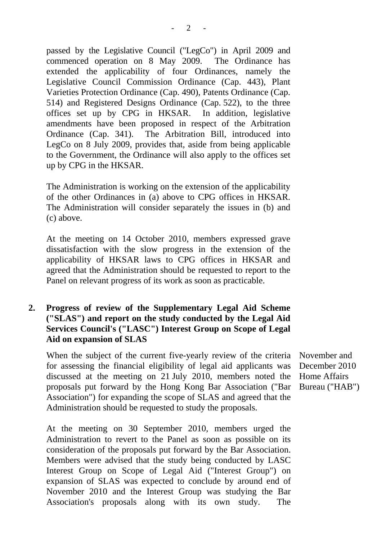passed by the Legislative Council ("LegCo") in April 2009 and commenced operation on 8 May 2009. The Ordinance has extended the applicability of four Ordinances, namely the Legislative Council Commission Ordinance (Cap. 443), Plant Varieties Protection Ordinance (Cap. 490), Patents Ordinance (Cap. 514) and Registered Designs Ordinance (Cap. 522), to the three offices set up by CPG in HKSAR. In addition, legislative amendments have been proposed in respect of the Arbitration Ordinance (Cap. 341). The Arbitration Bill, introduced into LegCo on 8 July 2009, provides that, aside from being applicable to the Government, the Ordinance will also apply to the offices set up by CPG in the HKSAR.

The Administration is working on the extension of the applicability of the other Ordinances in (a) above to CPG offices in HKSAR. The Administration will consider separately the issues in (b) and (c) above.

At the meeting on 14 October 2010, members expressed grave dissatisfaction with the slow progress in the extension of the applicability of HKSAR laws to CPG offices in HKSAR and agreed that the Administration should be requested to report to the Panel on relevant progress of its work as soon as practicable.

### **2. Progress of review of the Supplementary Legal Aid Scheme ("SLAS") and report on the study conducted by the Legal Aid Services Council's ("LASC") Interest Group on Scope of Legal Aid on expansion of SLAS**

When the subject of the current five-yearly review of the criteria for assessing the financial eligibility of legal aid applicants was discussed at the meeting on 21 July 2010, members noted the proposals put forward by the Hong Kong Bar Association ("Bar Association") for expanding the scope of SLAS and agreed that the Administration should be requested to study the proposals.

At the meeting on 30 September 2010, members urged the Administration to revert to the Panel as soon as possible on its consideration of the proposals put forward by the Bar Association. Members were advised that the study being conducted by LASC Interest Group on Scope of Legal Aid ("Interest Group") on expansion of SLAS was expected to conclude by around end of November 2010 and the Interest Group was studying the Bar Association's proposals along with its own study. The

November and December 2010 Home Affairs Bureau ("HAB")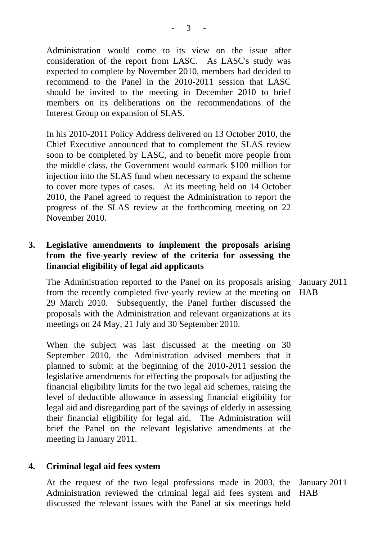Administration would come to its view on the issue after consideration of the report from LASC. As LASC's study was expected to complete by November 2010, members had decided to recommend to the Panel in the 2010-2011 session that LASC should be invited to the meeting in December 2010 to brief members on its deliberations on the recommendations of the Interest Group on expansion of SLAS.

In his 2010-2011 Policy Address delivered on 13 October 2010, the Chief Executive announced that to complement the SLAS review soon to be completed by LASC, and to benefit more people from the middle class, the Government would earmark \$100 million for injection into the SLAS fund when necessary to expand the scheme to cover more types of cases. At its meeting held on 14 October 2010, the Panel agreed to request the Administration to report the progress of the SLAS review at the forthcoming meeting on 22 November 2010.

### **3. Legislative amendments to implement the proposals arising from the five-yearly review of the criteria for assessing the financial eligibility of legal aid applicants**

 The Administration reported to the Panel on its proposals arising from the recently completed five-yearly review at the meeting on HAB 29 March 2010. Subsequently, the Panel further discussed the proposals with the Administration and relevant organizations at its meetings on 24 May, 21 July and 30 September 2010.

When the subject was last discussed at the meeting on 30 September 2010, the Administration advised members that it planned to submit at the beginning of the 2010-2011 session the legislative amendments for effecting the proposals for adjusting the financial eligibility limits for the two legal aid schemes, raising the level of deductible allowance in assessing financial eligibility for legal aid and disregarding part of the savings of elderly in assessing their financial eligibility for legal aid. The Administration will brief the Panel on the relevant legislative amendments at the meeting in January 2011.

#### **4. Criminal legal aid fees system**

 At the request of the two legal professions made in 2003, the January 2011 Administration reviewed the criminal legal aid fees system and HAB discussed the relevant issues with the Panel at six meetings held

January 2011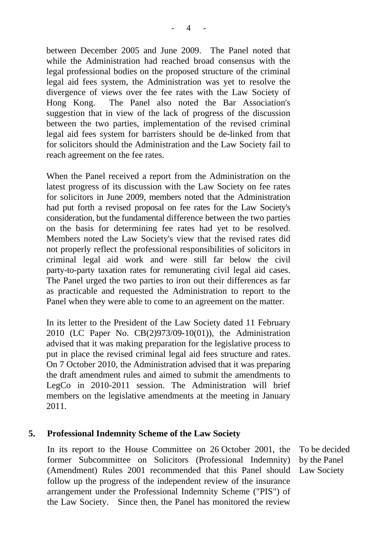between December 2005 and June 2009. The Panel noted that while the Administration had reached broad consensus with the legal professional bodies on the proposed structure of the criminal legal aid fees system, the Administration was yet to resolve the divergence of views over the fee rates with the Law Society of Hong Kong. The Panel also noted the Bar Association's suggestion that in view of the lack of progress of the discussion between the two parties, implementation of the revised criminal legal aid fees system for barristers should be de-linked from that for solicitors should the Administration and the Law Society fail to reach agreement on the fee rates.

When the Panel received a report from the Administration on the latest progress of its discussion with the Law Society on fee rates for solicitors in June 2009, members noted that the Administration had put forth a revised proposal on fee rates for the Law Society's consideration, but the fundamental difference between the two parties on the basis for determining fee rates had yet to be resolved. Members noted the Law Society's view that the revised rates did not properly reflect the professional responsibilities of solicitors in criminal legal aid work and were still far below the civil party-to-party taxation rates for remunerating civil legal aid cases. The Panel urged the two parties to iron out their differences as far as practicable and requested the Administration to report to the Panel when they were able to come to an agreement on the matter.

In its letter to the President of the Law Society dated 11 February 2010 (LC Paper No. CB(2)973/09-10(01)), the Administration advised that it was making preparation for the legislative process to put in place the revised criminal legal aid fees structure and rates. On 7 October 2010, the Administration advised that it was preparing the draft amendment rules and aimed to submit the amendments to LegCo in 2010-2011 session. The Administration will brief members on the legislative amendments at the meeting in January 2011.

#### **5. Professional Indemnity Scheme of the Law Society**

In its report to the House Committee on 26 October 2001, the former Subcommittee on Solicitors (Professional Indemnity) (Amendment) Rules 2001 recommended that this Panel should follow up the progress of the independent review of the insurance arrangement under the Professional Indemnity Scheme ("PIS") of the Law Society. Since then, the Panel has monitored the review

To be decided by the Panel Law Society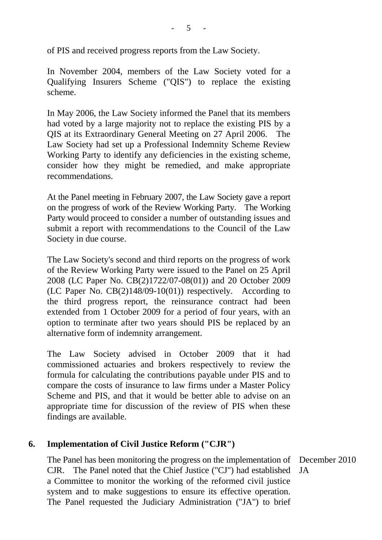of PIS and received progress reports from the Law Society.

In November 2004, members of the Law Society voted for a Qualifying Insurers Scheme ("QIS") to replace the existing scheme.

In May 2006, the Law Society informed the Panel that its members had voted by a large majority not to replace the existing PIS by a QIS at its Extraordinary General Meeting on 27 April 2006. The Law Society had set up a Professional Indemnity Scheme Review Working Party to identify any deficiencies in the existing scheme, consider how they might be remedied, and make appropriate recommendations.

At the Panel meeting in February 2007, the Law Society gave a report on the progress of work of the Review Working Party. The Working Party would proceed to consider a number of outstanding issues and submit a report with recommendations to the Council of the Law Society in due course.

The Law Society's second and third reports on the progress of work of the Review Working Party were issued to the Panel on 25 April 2008 (LC Paper No. CB(2)1722/07-08(01)) and 20 October 2009 (LC Paper No. CB(2)148/09-10(01)) respectively. According to the third progress report, the reinsurance contract had been extended from 1 October 2009 for a period of four years, with an option to terminate after two years should PIS be replaced by an alternative form of indemnity arrangement.

The Law Society advised in October 2009 that it had commissioned actuaries and brokers respectively to review the formula for calculating the contributions payable under PIS and to compare the costs of insurance to law firms under a Master Policy Scheme and PIS, and that it would be better able to advise on an appropriate time for discussion of the review of PIS when these findings are available.

### **6. Implementation of Civil Justice Reform ("CJR")**

The Panel has been monitoring the progress on the implementation of December 2010 CJR. The Panel noted that the Chief Justice ("CJ") had established a Committee to monitor the working of the reformed civil justice system and to make suggestions to ensure its effective operation. The Panel requested the Judiciary Administration ("JA") to brief JA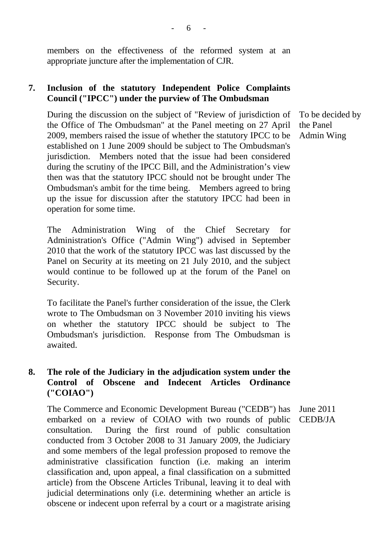members on the effectiveness of the reformed system at an appropriate juncture after the implementation of CJR.

## **7. Inclusion of the statutory Independent Police Complaints Council ("IPCC") under the purview of The Ombudsman**

During the discussion on the subject of "Review of jurisdiction of the Office of The Ombudsman" at the Panel meeting on 27 April 2009, members raised the issue of whether the statutory IPCC to be established on 1 June 2009 should be subject to The Ombudsman's jurisdiction. Members noted that the issue had been considered during the scrutiny of the IPCC Bill, and the Administration's view then was that the statutory IPCC should not be brought under The Ombudsman's ambit for the time being. Members agreed to bring up the issue for discussion after the statutory IPCC had been in operation for some time.

The Administration Wing of the Chief Secretary for Administration's Office ("Admin Wing") advised in September 2010 that the work of the statutory IPCC was last discussed by the Panel on Security at its meeting on 21 July 2010, and the subject would continue to be followed up at the forum of the Panel on Security.

To facilitate the Panel's further consideration of the issue, the Clerk wrote to The Ombudsman on 3 November 2010 inviting his views on whether the statutory IPCC should be subject to The Ombudsman's jurisdiction. Response from The Ombudsman is awaited.

### **8. The role of the Judiciary in the adjudication system under the Control of Obscene and Indecent Articles Ordinance ("COIAO")**

The Commerce and Economic Development Bureau ("CEDB") has embarked on a review of COIAO with two rounds of public consultation. During the first round of public consultation conducted from 3 October 2008 to 31 January 2009, the Judiciary and some members of the legal profession proposed to remove the administrative classification function (i.e. making an interim classification and, upon appeal, a final classification on a submitted article) from the Obscene Articles Tribunal, leaving it to deal with judicial determinations only (i.e. determining whether an article is obscene or indecent upon referral by a court or a magistrate arising June 2011 CEDB/JA

To be decided by the Panel Admin Wing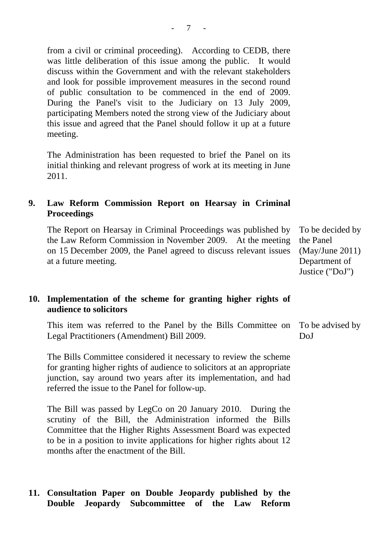from a civil or criminal proceeding). According to CEDB, there was little deliberation of this issue among the public. It would discuss within the Government and with the relevant stakeholders and look for possible improvement measures in the second round of public consultation to be commenced in the end of 2009. During the Panel's visit to the Judiciary on 13 July 2009, participating Members noted the strong view of the Judiciary about this issue and agreed that the Panel should follow it up at a future meeting.

The Administration has been requested to brief the Panel on its initial thinking and relevant progress of work at its meeting in June 2011.

### **9. Law Reform Commission Report on Hearsay in Criminal Proceedings**

The Report on Hearsay in Criminal Proceedings was published by the Law Reform Commission in November 2009. At the meeting on 15 December 2009, the Panel agreed to discuss relevant issues at a future meeting.

**10. Implementation of the scheme for granting higher rights of audience to solicitors** 

This item was referred to the Panel by the Bills Committee on Legal Practitioners (Amendment) Bill 2009. DoJ

The Bills Committee considered it necessary to review the scheme for granting higher rights of audience to solicitors at an appropriate junction, say around two years after its implementation, and had referred the issue to the Panel for follow-up.

The Bill was passed by LegCo on 20 January 2010. During the scrutiny of the Bill, the Administration informed the Bills Committee that the Higher Rights Assessment Board was expected to be in a position to invite applications for higher rights about 12 months after the enactment of the Bill.

#### **11. Consultation Paper on Double Jeopardy published by the Double Jeopardy Subcommittee of the Law Reform**

To be decided by the Panel (May/June 2011) Department of Justice ("DoJ")

To be advised by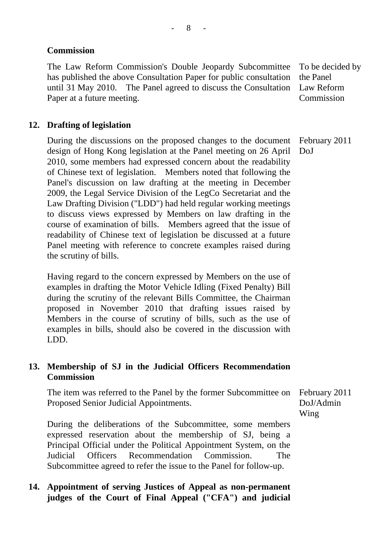## **Commission**

The Law Reform Commission's Double Jeopardy Subcommittee has published the above Consultation Paper for public consultation until 31 May 2010. The Panel agreed to discuss the Consultation Paper at a future meeting.

To be decided by the Panel Law Reform **Commission** 

## **12. Drafting of legislation**

During the discussions on the proposed changes to the document design of Hong Kong legislation at the Panel meeting on 26 April 2010, some members had expressed concern about the readability of Chinese text of legislation. Members noted that following the Panel's discussion on law drafting at the meeting in December 2009, the Legal Service Division of the LegCo Secretariat and the Law Drafting Division ("LDD") had held regular working meetings to discuss views expressed by Members on law drafting in the course of examination of bills. Members agreed that the issue of readability of Chinese text of legislation be discussed at a future Panel meeting with reference to concrete examples raised during the scrutiny of bills. February 2011 DoJ

Having regard to the concern expressed by Members on the use of examples in drafting the Motor Vehicle Idling (Fixed Penalty) Bill during the scrutiny of the relevant Bills Committee, the Chairman proposed in November 2010 that drafting issues raised by Members in the course of scrutiny of bills, such as the use of examples in bills, should also be covered in the discussion with LDD.

### **13. Membership of SJ in the Judicial Officers Recommendation Commission**

The item was referred to the Panel by the former Subcommittee on Proposed Senior Judicial Appointments.

During the deliberations of the Subcommittee, some members expressed reservation about the membership of SJ, being a Principal Official under the Political Appointment System, on the Judicial Officers Recommendation Commission. The Subcommittee agreed to refer the issue to the Panel for follow-up.

## **14. Appointment of serving Justices of Appeal as non-permanent judges of the Court of Final Appeal ("CFA") and judicial**

February 2011 DoJ/Admin Wing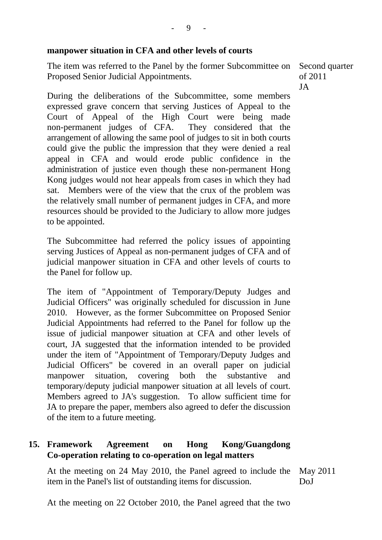#### **manpower situation in CFA and other levels of courts**

The item was referred to the Panel by the former Subcommittee on Proposed Senior Judicial Appointments.

Second quarter of 2011 JA

During the deliberations of the Subcommittee, some members expressed grave concern that serving Justices of Appeal to the Court of Appeal of the High Court were being made non-permanent judges of CFA. They considered that the arrangement of allowing the same pool of judges to sit in both courts could give the public the impression that they were denied a real appeal in CFA and would erode public confidence in the administration of justice even though these non-permanent Hong Kong judges would not hear appeals from cases in which they had sat. Members were of the view that the crux of the problem was the relatively small number of permanent judges in CFA, and more resources should be provided to the Judiciary to allow more judges to be appointed.

The Subcommittee had referred the policy issues of appointing serving Justices of Appeal as non-permanent judges of CFA and of judicial manpower situation in CFA and other levels of courts to the Panel for follow up.

The item of "Appointment of Temporary/Deputy Judges and Judicial Officers" was originally scheduled for discussion in June 2010. However, as the former Subcommittee on Proposed Senior Judicial Appointments had referred to the Panel for follow up the issue of judicial manpower situation at CFA and other levels of court, JA suggested that the information intended to be provided under the item of "Appointment of Temporary/Deputy Judges and Judicial Officers" be covered in an overall paper on judicial manpower situation, covering both the substantive and temporary/deputy judicial manpower situation at all levels of court. Members agreed to JA's suggestion. To allow sufficient time for JA to prepare the paper, members also agreed to defer the discussion of the item to a future meeting.

### **15. Framework Agreement on Hong Kong/Guangdong Co-operation relating to co-operation on legal matters**

At the meeting on 24 May 2010, the Panel agreed to include the item in the Panel's list of outstanding items for discussion. May 2011 DoJ

At the meeting on 22 October 2010, the Panel agreed that the two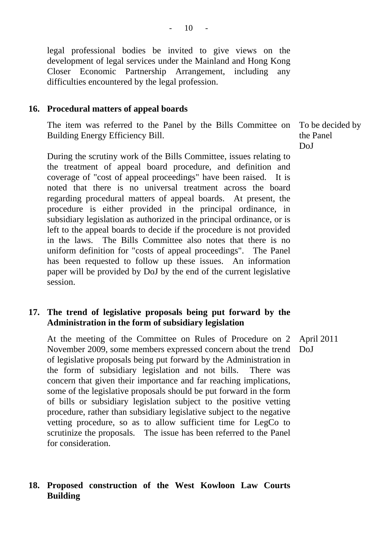legal professional bodies be invited to give views on the development of legal services under the Mainland and Hong Kong Closer Economic Partnership Arrangement, including any difficulties encountered by the legal profession.

#### **16. Procedural matters of appeal boards**

The item was referred to the Panel by the Bills Committee on Building Energy Efficiency Bill.

During the scrutiny work of the Bills Committee, issues relating to the treatment of appeal board procedure, and definition and coverage of "cost of appeal proceedings" have been raised. It is noted that there is no universal treatment across the board regarding procedural matters of appeal boards. At present, the procedure is either provided in the principal ordinance, in subsidiary legislation as authorized in the principal ordinance, or is left to the appeal boards to decide if the procedure is not provided in the laws. The Bills Committee also notes that there is no uniform definition for "costs of appeal proceedings". The Panel has been requested to follow up these issues. An information paper will be provided by DoJ by the end of the current legislative session.

### **17. The trend of legislative proposals being put forward by the Administration in the form of subsidiary legislation**

At the meeting of the Committee on Rules of Procedure on 2 November 2009, some members expressed concern about the trend of legislative proposals being put forward by the Administration in the form of subsidiary legislation and not bills. There was concern that given their importance and far reaching implications, some of the legislative proposals should be put forward in the form of bills or subsidiary legislation subject to the positive vetting procedure, rather than subsidiary legislative subject to the negative vetting procedure, so as to allow sufficient time for LegCo to scrutinize the proposals. The issue has been referred to the Panel for consideration. April 2011 DoJ

### **18. Proposed construction of the West Kowloon Law Courts Building**

To be decided by the Panel DoJ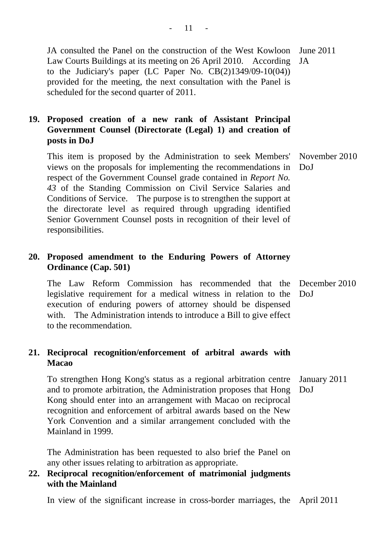JA consulted the Panel on the construction of the West Kowloon June 2011 Law Courts Buildings at its meeting on 26 April 2010. According to the Judiciary's paper (LC Paper No. CB(2)1349/09-10(04)) provided for the meeting, the next consultation with the Panel is scheduled for the second quarter of 2011. JA

## **19. Proposed creation of a new rank of Assistant Principal Government Counsel (Directorate (Legal) 1) and creation of posts in DoJ**

This item is proposed by the Administration to seek Members' views on the proposals for implementing the recommendations in respect of the Government Counsel grade contained in *Report No. 43* of the Standing Commission on Civil Service Salaries and Conditions of Service. The purpose is to strengthen the support at the directorate level as required through upgrading identified Senior Government Counsel posts in recognition of their level of responsibilities. DoJ

### **20. Proposed amendment to the Enduring Powers of Attorney Ordinance (Cap. 501)**

The Law Reform Commission has recommended that the December 2010 legislative requirement for a medical witness in relation to the DoJ execution of enduring powers of attorney should be dispensed with. The Administration intends to introduce a Bill to give effect to the recommendation.

### **21. Reciprocal recognition/enforcement of arbitral awards with Macao**

To strengthen Hong Kong's status as a regional arbitration centre and to promote arbitration, the Administration proposes that Hong Kong should enter into an arrangement with Macao on reciprocal recognition and enforcement of arbitral awards based on the New York Convention and a similar arrangement concluded with the Mainland in 1999. January 2011 DoJ

The Administration has been requested to also brief the Panel on any other issues relating to arbitration as appropriate.

### **22. Reciprocal recognition/enforcement of matrimonial judgments with the Mainland**

In view of the significant increase in cross-border marriages, the April 2011

November 2010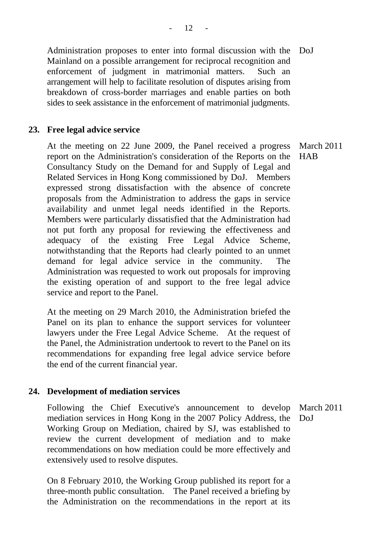Administration proposes to enter into formal discussion with the Mainland on a possible arrangement for reciprocal recognition and enforcement of judgment in matrimonial matters. Such an arrangement will help to facilitate resolution of disputes arising from breakdown of cross-border marriages and enable parties on both sides to seek assistance in the enforcement of matrimonial judgments. DoJ

#### **23. Free legal advice service**

At the meeting on 22 June 2009, the Panel received a progress report on the Administration's consideration of the Reports on the Consultancy Study on the Demand for and Supply of Legal and Related Services in Hong Kong commissioned by DoJ. Members expressed strong dissatisfaction with the absence of concrete proposals from the Administration to address the gaps in service availability and unmet legal needs identified in the Reports. Members were particularly dissatisfied that the Administration had not put forth any proposal for reviewing the effectiveness and adequacy of the existing Free Legal Advice Scheme, notwithstanding that the Reports had clearly pointed to an unmet demand for legal advice service in the community. The Administration was requested to work out proposals for improving the existing operation of and support to the free legal advice service and report to the Panel. March 2011 **HAB** 

At the meeting on 29 March 2010, the Administration briefed the Panel on its plan to enhance the support services for volunteer lawyers under the Free Legal Advice Scheme. At the request of the Panel, the Administration undertook to revert to the Panel on its recommendations for expanding free legal advice service before the end of the current financial year.

#### **24. Development of mediation services**

Following the Chief Executive's announcement to develop mediation services in Hong Kong in the 2007 Policy Address, the Working Group on Mediation, chaired by SJ, was established to review the current development of mediation and to make recommendations on how mediation could be more effectively and extensively used to resolve disputes. March 2011 DoJ

On 8 February 2010, the Working Group published its report for a three-month public consultation. The Panel received a briefing by the Administration on the recommendations in the report at its